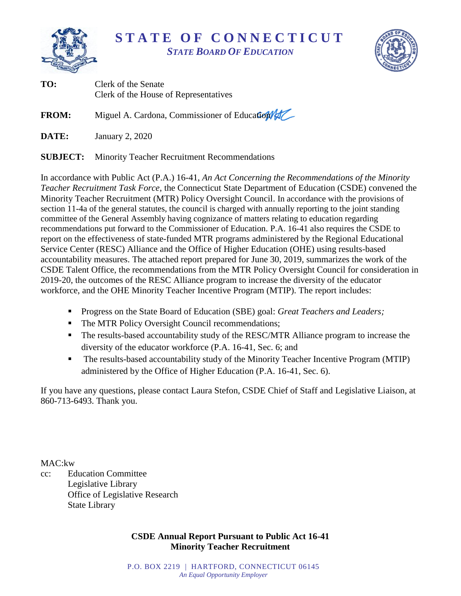

**S T A T E O F C O N N E C T I C U T** *STATE BOARD OF EDUCATION*



| TO:          | Clerk of the Senate<br>Clerk of the House of Representatives |
|--------------|--------------------------------------------------------------|
| <b>FROM:</b> | Miguel A. Cardona, Commissioner of Education                 |
| DATE:        | January 2, 2020                                              |
|              | <b>SUBJECT:</b> Minority Teacher Recruitment Recommendations |

In accordance with Public Act (P.A.) 16-41, *An Act Concerning the Recommendations of the Minority Teacher Recruitment Task Force*, the Connecticut State Department of Education (CSDE) convened the Minority Teacher Recruitment (MTR) Policy Oversight Council. In accordance with the provisions of section 11-4a of the general statutes, the council is charged with annually reporting to the joint standing committee of the General Assembly having cognizance of matters relating to education regarding recommendations put forward to the Commissioner of Education. P.A. 16-41 also requires the CSDE to report on the effectiveness of state-funded MTR programs administered by the Regional Educational Service Center (RESC) Alliance and the Office of Higher Education (OHE) using results-based accountability measures. The attached report prepared for June 30, 2019, summarizes the work of the CSDE Talent Office, the recommendations from the MTR Policy Oversight Council for consideration in 2019-20, the outcomes of the RESC Alliance program to increase the diversity of the educator workforce, and the OHE Minority Teacher Incentive Program (MTIP). The report includes:

- Progress on the State Board of Education (SBE) goal: *Great Teachers and Leaders;*
- The MTR Policy Oversight Council recommendations;
- The results-based accountability study of the RESC/MTR Alliance program to increase the diversity of the educator workforce (P.A. 16-41, Sec. 6; and
- The results-based accountability study of the Minority Teacher Incentive Program (MTIP) administered by the Office of Higher Education (P.A. 16-41, Sec. 6).

If you have any questions, please contact Laura Stefon, CSDE Chief of Staff and Legislative Liaison, at 860-713-6493. Thank you.

MAC:kw

cc: Education Committee Legislative Library Office of Legislative Research State Library

# **CSDE Annual Report Pursuant to Public Act 16-41 Minority Teacher Recruitment**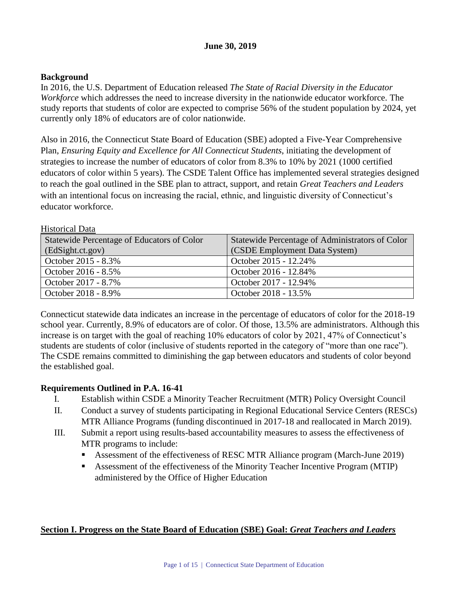# **June 30, 2019**

## **Background**

Historical Data

In 2016, the U.S. Department of Education released *The State of Racial Diversity in the Educator Workforce* which addresses the need to increase diversity in the nationwide educator workforce. The study reports that students of color are expected to comprise 56% of the student population by 2024, yet currently only 18% of educators are of color nationwide.

Also in 2016, the Connecticut State Board of Education (SBE) adopted a Five-Year Comprehensive Plan, *Ensuring Equity and Excellence for All Connecticut Students*, initiating the development of strategies to increase the number of educators of color from 8.3% to 10% by 2021 (1000 certified educators of color within 5 years). The CSDE Talent Office has implemented several strategies designed to reach the goal outlined in the SBE plan to attract, support, and retain *Great Teachers and Leaders* with an intentional focus on increasing the racial, ethnic, and linguistic diversity of Connecticut's educator workforce.

| Statewide Percentage of Educators of Color | Statewide Percentage of Administrators of Color |  |
|--------------------------------------------|-------------------------------------------------|--|
| (EdSight.ct.gov)                           | (CSDE Employment Data System)                   |  |
| October 2015 - 8.3%                        | October 2015 - 12.24%                           |  |
| October 2016 - 8.5%                        | October 2016 - 12.84%                           |  |
| October 2017 - 8.7%                        | October 2017 - 12.94%                           |  |
| October 2018 - 8.9%                        | October 2018 - 13.5%                            |  |

Connecticut statewide data indicates an increase in the percentage of educators of color for the 2018-19 school year. Currently, 8.9% of educators are of color. Of those, 13.5% are administrators. Although this increase is on target with the goal of reaching 10% educators of color by 2021, 47% of Connecticut's students are students of color (inclusive of students reported in the category of "more than one race"). The CSDE remains committed to diminishing the gap between educators and students of color beyond the established goal.

## **Requirements Outlined in P.A. 16-41**

- I. Establish within CSDE a Minority Teacher Recruitment (MTR) Policy Oversight Council
- II. Conduct a survey of students participating in Regional Educational Service Centers (RESCs) MTR Alliance Programs (funding discontinued in 2017-18 and reallocated in March 2019).
- III. Submit a report using results-based accountability measures to assess the effectiveness of MTR programs to include:
	- Assessment of the effectiveness of RESC MTR Alliance program (March-June 2019)
	- Assessment of the effectiveness of the Minority Teacher Incentive Program (MTIP) administered by the Office of Higher Education

# **Section I. Progress on the State Board of Education (SBE) Goal:** *Great Teachers and Leaders*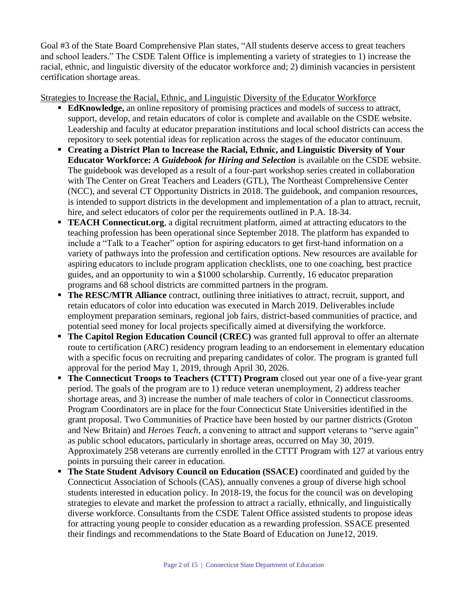Goal #3 of the State Board Comprehensive Plan states, "All students deserve access to great teachers and school leaders." The CSDE Talent Office is implementing a variety of strategies to 1) increase the racial, ethnic, and linguistic diversity of the educator workforce and; 2) diminish vacancies in persistent certification shortage areas.

Strategies to Increase the Racial, Ethnic, and Linguistic Diversity of the Educator Workforce

- **EdKnowledge,** an online repository of promising practices and models of success to attract, support, develop, and retain educators of color is complete and available on the CSDE website. Leadership and faculty at educator preparation institutions and local school districts can access the repository to seek potential ideas for replication across the stages of the educator continuum.
- **Creating a District Plan to Increase the Racial, Ethnic, and Linguistic Diversity of Your Educator Workforce:** *A Guidebook for Hiring and Selection* is available on the CSDE website. The guidebook was developed as a result of a four-part workshop series created in collaboration with The Center on Great Teachers and Leaders (GTL), The Northeast Comprehensive Center (NCC), and several CT Opportunity Districts in 2018. The guidebook, and companion resources, is intended to support districts in the development and implementation of a plan to attract, recruit, hire, and select educators of color per the requirements outlined in P.A. 18-34.
- **TEACH Connecticut.org**, a digital recruitment platform, aimed at attracting educators to the teaching profession has been operational since September 2018. The platform has expanded to include a "Talk to a Teacher" option for aspiring educators to get first-hand information on a variety of pathways into the profession and certification options. New resources are available for aspiring educators to include program application checklists, one to one coaching, best practice guides, and an opportunity to win a \$1000 scholarship. Currently, 16 educator preparation programs and 68 school districts are committed partners in the program.
- **The RESC/MTR Alliance** contract, outlining three initiatives to attract, recruit, support, and retain educators of color into education was executed in March 2019. Deliverables include employment preparation seminars, regional job fairs, district-based communities of practice, and potential seed money for local projects specifically aimed at diversifying the workforce.
- **The Capitol Region Education Council (CREC)** was granted full approval to offer an alternate route to certification (ARC) residency program leading to an endorsement in elementary education with a specific focus on recruiting and preparing candidates of color. The program is granted full approval for the period May 1, 2019, through April 30, 2026.
- **The Connecticut Troops to Teachers (CTTT) Program** closed out year one of a five-year grant period. The goals of the program are to 1) reduce veteran unemployment, 2) address teacher shortage areas, and 3) increase the number of male teachers of color in Connecticut classrooms. Program Coordinators are in place for the four Connecticut State Universities identified in the grant proposal. Two Communities of Practice have been hosted by our partner districts (Groton and New Britain) and *Heroes Teach*, a convening to attract and support veterans to "serve again" as public school educators, particularly in shortage areas, occurred on May 30, 2019. Approximately 258 veterans are currently enrolled in the CTTT Program with 127 at various entry points in pursuing their career in education.
- **The State Student Advisory Council on Education (SSACE)** coordinated and guided by the Connecticut Association of Schools (CAS), annually convenes a group of diverse high school students interested in education policy. In 2018-19, the focus for the council was on developing strategies to elevate and market the profession to attract a racially, ethnically, and linguistically diverse workforce. Consultants from the CSDE Talent Office assisted students to propose ideas for attracting young people to consider education as a rewarding profession. SSACE presented their findings and recommendations to the State Board of Education on June12, 2019.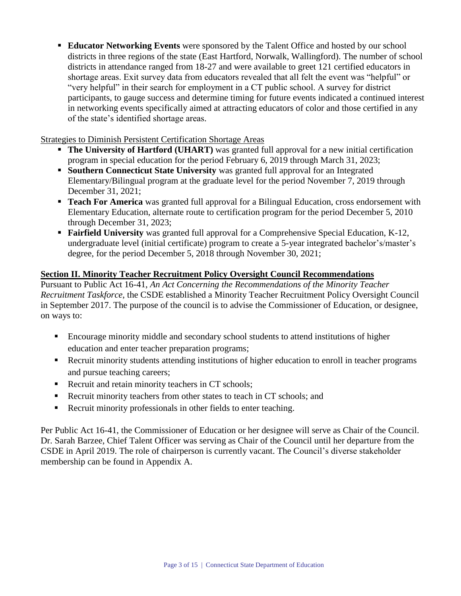**Educator Networking Events** were sponsored by the Talent Office and hosted by our school districts in three regions of the state (East Hartford, Norwalk, Wallingford). The number of school districts in attendance ranged from 18-27 and were available to greet 121 certified educators in shortage areas. Exit survey data from educators revealed that all felt the event was "helpful" or "very helpful" in their search for employment in a CT public school. A survey for district participants, to gauge success and determine timing for future events indicated a continued interest in networking events specifically aimed at attracting educators of color and those certified in any of the state's identified shortage areas.

# Strategies to Diminish Persistent Certification Shortage Areas

- **The University of Hartford (UHART)** was granted full approval for a new initial certification program in special education for the period February 6, 2019 through March 31, 2023;
- **Southern Connecticut State University** was granted full approval for an Integrated Elementary/Bilingual program at the graduate level for the period November 7, 2019 through December 31, 2021;
- **Teach For America** was granted full approval for a Bilingual Education, cross endorsement with Elementary Education, alternate route to certification program for the period December 5, 2010 through December 31, 2023;
- **Fairfield University** was granted full approval for a Comprehensive Special Education, K-12, undergraduate level (initial certificate) program to create a 5-year integrated bachelor's/master's degree, for the period December 5, 2018 through November 30, 2021;

# **Section II. Minority Teacher Recruitment Policy Oversight Council Recommendations**

Pursuant to Public Act 16-41, *An Act Concerning the Recommendations of the Minority Teacher Recruitment Taskforce*, the CSDE established a Minority Teacher Recruitment Policy Oversight Council in September 2017. The purpose of the council is to advise the Commissioner of Education, or designee, on ways to:

- Encourage minority middle and secondary school students to attend institutions of higher education and enter teacher preparation programs;
- **Recruit minority students attending institutions of higher education to enroll in teacher programs** and pursue teaching careers;
- Recruit and retain minority teachers in CT schools;
- Recruit minority teachers from other states to teach in CT schools; and
- Recruit minority professionals in other fields to enter teaching.

Per Public Act 16-41, the Commissioner of Education or her designee will serve as Chair of the Council. Dr. Sarah Barzee, Chief Talent Officer was serving as Chair of the Council until her departure from the CSDE in April 2019. The role of chairperson is currently vacant. The Council's diverse stakeholder membership can be found in Appendix A.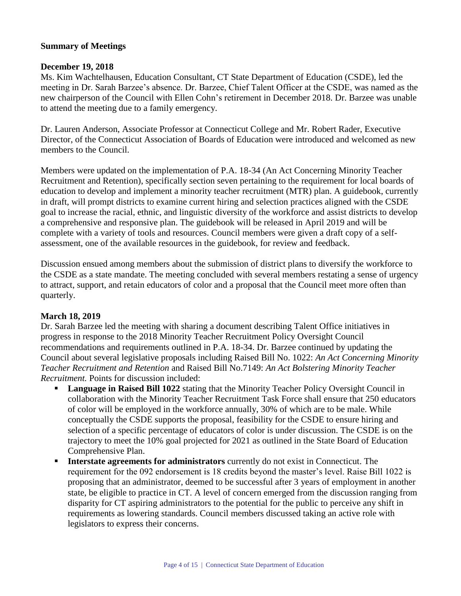# **Summary of Meetings**

## **December 19, 2018**

Ms. Kim Wachtelhausen, Education Consultant, CT State Department of Education (CSDE), led the meeting in Dr. Sarah Barzee's absence. Dr. Barzee, Chief Talent Officer at the CSDE, was named as the new chairperson of the Council with Ellen Cohn's retirement in December 2018. Dr. Barzee was unable to attend the meeting due to a family emergency.

Dr. Lauren Anderson, Associate Professor at Connecticut College and Mr. Robert Rader, Executive Director, of the Connecticut Association of Boards of Education were introduced and welcomed as new members to the Council.

Members were updated on the implementation of P.A. 18-34 (An Act Concerning Minority Teacher Recruitment and Retention), specifically section seven pertaining to the requirement for local boards of education to develop and implement a minority teacher recruitment (MTR) plan. A guidebook, currently in draft, will prompt districts to examine current hiring and selection practices aligned with the CSDE goal to increase the racial, ethnic, and linguistic diversity of the workforce and assist districts to develop a comprehensive and responsive plan. The guidebook will be released in April 2019 and will be complete with a variety of tools and resources. Council members were given a draft copy of a selfassessment, one of the available resources in the guidebook, for review and feedback.

Discussion ensued among members about the submission of district plans to diversify the workforce to the CSDE as a state mandate. The meeting concluded with several members restating a sense of urgency to attract, support, and retain educators of color and a proposal that the Council meet more often than quarterly.

## **March 18, 2019**

Dr. Sarah Barzee led the meeting with sharing a document describing Talent Office initiatives in progress in response to the 2018 Minority Teacher Recruitment Policy Oversight Council recommendations and requirements outlined in P.A. 18-34. Dr. Barzee continued by updating the Council about several legislative proposals including Raised Bill No. 1022: *An Act Concerning Minority Teacher Recruitment and Retention* and Raised Bill No.7149: *An Act Bolstering Minority Teacher Recruitment.* Points for discussion included:

- **Language in Raised Bill 1022** stating that the Minority Teacher Policy Oversight Council in collaboration with the Minority Teacher Recruitment Task Force shall ensure that 250 educators of color will be employed in the workforce annually, 30% of which are to be male. While conceptually the CSDE supports the proposal, feasibility for the CSDE to ensure hiring and selection of a specific percentage of educators of color is under discussion. The CSDE is on the trajectory to meet the 10% goal projected for 2021 as outlined in the State Board of Education Comprehensive Plan.
- **Interstate agreements for administrators** currently do not exist in Connecticut. The requirement for the 092 endorsement is 18 credits beyond the master's level. Raise Bill 1022 is proposing that an administrator, deemed to be successful after 3 years of employment in another state, be eligible to practice in CT. A level of concern emerged from the discussion ranging from disparity for CT aspiring administrators to the potential for the public to perceive any shift in requirements as lowering standards. Council members discussed taking an active role with legislators to express their concerns.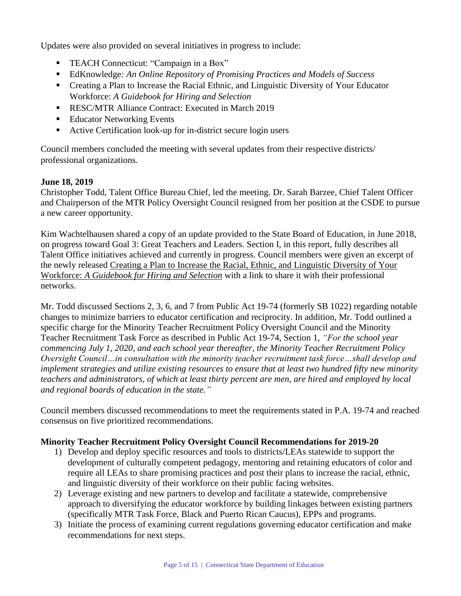Updates were also provided on several initiatives in progress to include:

- TEACH Connecticut: "Campaign in a Box"
- EdKnowledge*: An Online Repository of Promising Practices and Models of Success*
- Creating a Plan to Increase the Racial Ethnic, and Linguistic Diversity of Your Educator Workforce: *A Guidebook for Hiring and Selection*
- **RESC/MTR Alliance Contract: Executed in March 2019**
- Educator Networking Events
- Active Certification look-up for in-district secure login users

Council members concluded the meeting with several updates from their respective districts/ professional organizations.

# **June 18, 2019**

Christopher Todd, Talent Office Bureau Chief, led the meeting. Dr. Sarah Barzee, Chief Talent Officer and Chairperson of the MTR Policy Oversight Council resigned from her position at the CSDE to pursue a new career opportunity.

Kim Wachtelhausen shared a copy of an update provided to the State Board of Education, in June 2018, on progress toward Goal 3: Great Teachers and Leaders. Section I, in this report, fully describes all Talent Office initiatives achieved and currently in progress. Council members were given an excerpt of the newly released Creating a Plan to Increase the Racial, Ethnic, and Linguistic Diversity of Your Workforce: *A Guidebook for Hiring and Selection* with a link to share it with their professional networks.

Mr. Todd discussed Sections 2, 3, 6, and 7 from Public Act 19-74 (formerly SB 1022) regarding notable changes to minimize barriers to educator certification and reciprocity. In addition, Mr. Todd outlined a specific charge for the Minority Teacher Recruitment Policy Oversight Council and the Minority Teacher Recruitment Task Force as described in Public Act 19-74, Section 1, *"For the school year commencing July 1, 2020, and each school year thereafter, the Minority Teacher Recruitment Policy Oversight Council…in consultation with the minority teacher recruitment task force…shall develop and implement strategies and utilize existing resources to ensure that at least two hundred fifty new minority teachers and administrators, of which at least thirty percent are men, are hired and employed by local and regional boards of education in the state."*

Council members discussed recommendations to meet the requirements stated in P.A. 19-74 and reached consensus on five prioritized recommendations.

# **Minority Teacher Recruitment Policy Oversight Council Recommendations for 2019-20**

- 1) Develop and deploy specific resources and tools to districts/LEAs statewide to support the development of culturally competent pedagogy, mentoring and retaining educators of color and require all LEAs to share promising practices and post their plans to increase the racial, ethnic, and linguistic diversity of their workforce on their public facing websites.
- 2) Leverage existing and new partners to develop and facilitate a statewide, comprehensive approach to diversifying the educator workforce by building linkages between existing partners (specifically MTR Task Force, Black and Puerto Rican Caucus), EPPs and programs.
- 3) Initiate the process of examining current regulations governing educator certification and make recommendations for next steps.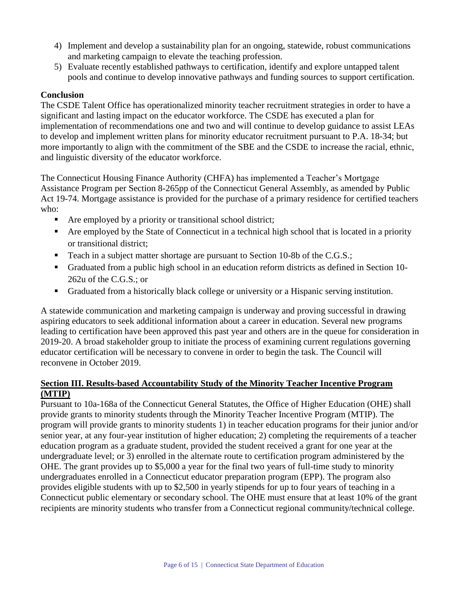- 4) Implement and develop a sustainability plan for an ongoing, statewide, robust communications and marketing campaign to elevate the teaching profession.
- 5) Evaluate recently established pathways to certification, identify and explore untapped talent pools and continue to develop innovative pathways and funding sources to support certification.

# **Conclusion**

The CSDE Talent Office has operationalized minority teacher recruitment strategies in order to have a significant and lasting impact on the educator workforce. The CSDE has executed a plan for implementation of recommendations one and two and will continue to develop guidance to assist LEAs to develop and implement written plans for minority educator recruitment pursuant to P.A. 18-34; but more importantly to align with the commitment of the SBE and the CSDE to increase the racial, ethnic, and linguistic diversity of the educator workforce.

The Connecticut Housing Finance Authority (CHFA) has implemented a Teacher's Mortgage Assistance Program per Section 8-265pp of the Connecticut General Assembly, as amended by Public Act 19-74. Mortgage assistance is provided for the purchase of a primary residence for certified teachers who:

- Are employed by a priority or transitional school district;
- Are employed by the State of Connecticut in a technical high school that is located in a priority or transitional district;
- Teach in a subject matter shortage are pursuant to Section 10-8b of the C.G.S.;
- Graduated from a public high school in an education reform districts as defined in Section 10- 262u of the C.G.S.; or
- Graduated from a historically black college or university or a Hispanic serving institution.

A statewide communication and marketing campaign is underway and proving successful in drawing aspiring educators to seek additional information about a career in education. Several new programs leading to certification have been approved this past year and others are in the queue for consideration in 2019-20. A broad stakeholder group to initiate the process of examining current regulations governing educator certification will be necessary to convene in order to begin the task. The Council will reconvene in October 2019.

# **Section III. Results-based Accountability Study of the Minority Teacher Incentive Program (MTIP)**

Pursuant to 10a-168a of the Connecticut General Statutes, the Office of Higher Education (OHE) shall provide grants to minority students through the Minority Teacher Incentive Program (MTIP). The program will provide grants to minority students 1) in teacher education programs for their junior and/or senior year, at any four-year institution of higher education; 2) completing the requirements of a teacher education program as a graduate student, provided the student received a grant for one year at the undergraduate level; or 3) enrolled in the alternate route to certification program administered by the OHE. The grant provides up to \$5,000 a year for the final two years of full-time study to minority undergraduates enrolled in a Connecticut educator preparation program (EPP). The program also provides eligible students with up to \$2,500 in yearly stipends for up to four years of teaching in a Connecticut public elementary or secondary school. The OHE must ensure that at least 10% of the grant recipients are minority students who transfer from a Connecticut regional community/technical college.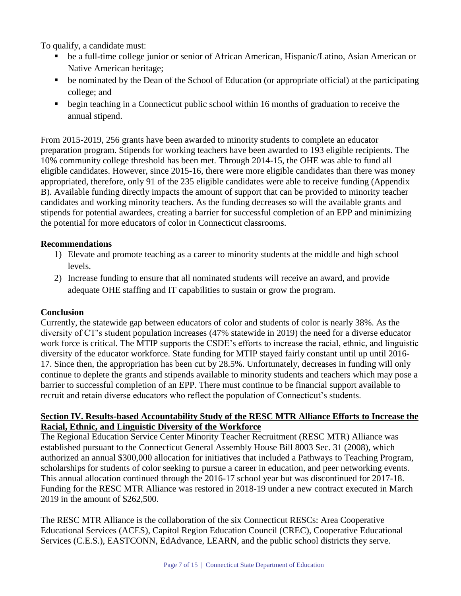To qualify, a candidate must:

- be a full-time college junior or senior of African American, Hispanic/Latino, Asian American or Native American heritage;
- be nominated by the Dean of the School of Education (or appropriate official) at the participating college; and
- **•** begin teaching in a Connecticut public school within 16 months of graduation to receive the annual stipend.

From 2015-2019, 256 grants have been awarded to minority students to complete an educator preparation program. Stipends for working teachers have been awarded to 193 eligible recipients. The 10% community college threshold has been met. Through 2014-15, the OHE was able to fund all eligible candidates. However, since 2015-16, there were more eligible candidates than there was money appropriated, therefore, only 91 of the 235 eligible candidates were able to receive funding (Appendix B). Available funding directly impacts the amount of support that can be provided to minority teacher candidates and working minority teachers. As the funding decreases so will the available grants and stipends for potential awardees, creating a barrier for successful completion of an EPP and minimizing the potential for more educators of color in Connecticut classrooms.

# **Recommendations**

- 1) Elevate and promote teaching as a career to minority students at the middle and high school levels.
- 2) Increase funding to ensure that all nominated students will receive an award, and provide adequate OHE staffing and IT capabilities to sustain or grow the program.

# **Conclusion**

Currently, the statewide gap between educators of color and students of color is nearly 38%. As the diversity of CT's student population increases (47% statewide in 2019) the need for a diverse educator work force is critical. The MTIP supports the CSDE's efforts to increase the racial, ethnic, and linguistic diversity of the educator workforce. State funding for MTIP stayed fairly constant until up until 2016- 17. Since then, the appropriation has been cut by 28.5%. Unfortunately, decreases in funding will only continue to deplete the grants and stipends available to minority students and teachers which may pose a barrier to successful completion of an EPP. There must continue to be financial support available to recruit and retain diverse educators who reflect the population of Connecticut's students.

# **Section IV. Results-based Accountability Study of the RESC MTR Alliance Efforts to Increase the Racial, Ethnic, and Linguistic Diversity of the Workforce**

The Regional Education Service Center Minority Teacher Recruitment (RESC MTR) Alliance was established pursuant to the Connecticut General Assembly House Bill 8003 Sec. 31 (2008), which authorized an annual \$300,000 allocation for initiatives that included a Pathways to Teaching Program, scholarships for students of color seeking to pursue a career in education, and peer networking events. This annual allocation continued through the 2016-17 school year but was discontinued for 2017-18. Funding for the RESC MTR Alliance was restored in 2018-19 under a new contract executed in March 2019 in the amount of \$262,500.

The RESC MTR Alliance is the collaboration of the six Connecticut RESCs: Area Cooperative Educational Services (ACES), Capitol Region Education Council (CREC), Cooperative Educational Services (C.E.S.), EASTCONN, EdAdvance, LEARN, and the public school districts they serve.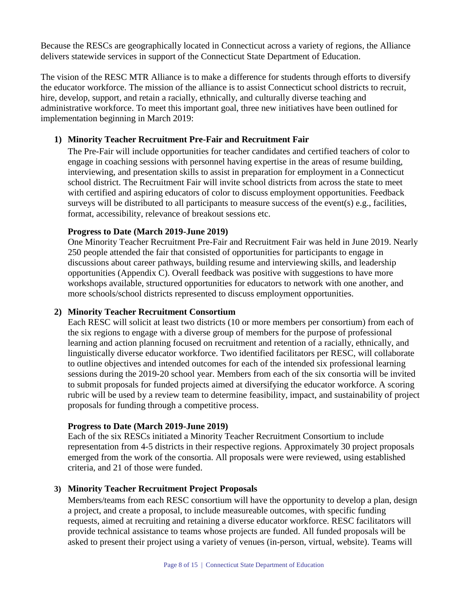Because the RESCs are geographically located in Connecticut across a variety of regions, the Alliance delivers statewide services in support of the Connecticut State Department of Education.

The vision of the RESC MTR Alliance is to make a difference for students through efforts to diversify the educator workforce. The mission of the alliance is to assist Connecticut school districts to recruit, hire, develop, support, and retain a racially, ethnically, and culturally diverse teaching and administrative workforce. To meet this important goal, three new initiatives have been outlined for implementation beginning in March 2019:

## **1) Minority Teacher Recruitment Pre-Fair and Recruitment Fair**

The Pre-Fair will include opportunities for teacher candidates and certified teachers of color to engage in coaching sessions with personnel having expertise in the areas of resume building, interviewing, and presentation skills to assist in preparation for employment in a Connecticut school district. The Recruitment Fair will invite school districts from across the state to meet with certified and aspiring educators of color to discuss employment opportunities. Feedback surveys will be distributed to all participants to measure success of the event(s) e.g., facilities, format, accessibility, relevance of breakout sessions etc.

## **Progress to Date (March 2019-June 2019)**

One Minority Teacher Recruitment Pre-Fair and Recruitment Fair was held in June 2019. Nearly 250 people attended the fair that consisted of opportunities for participants to engage in discussions about career pathways, building resume and interviewing skills, and leadership opportunities (Appendix C). Overall feedback was positive with suggestions to have more workshops available, structured opportunities for educators to network with one another, and more schools/school districts represented to discuss employment opportunities.

## **2) Minority Teacher Recruitment Consortium**

Each RESC will solicit at least two districts (10 or more members per consortium) from each of the six regions to engage with a diverse group of members for the purpose of professional learning and action planning focused on recruitment and retention of a racially, ethnically, and linguistically diverse educator workforce. Two identified facilitators per RESC, will collaborate to outline objectives and intended outcomes for each of the intended six professional learning sessions during the 2019-20 school year. Members from each of the six consortia will be invited to submit proposals for funded projects aimed at diversifying the educator workforce. A scoring rubric will be used by a review team to determine feasibility, impact, and sustainability of project proposals for funding through a competitive process.

## **Progress to Date (March 2019-June 2019)**

Each of the six RESCs initiated a Minority Teacher Recruitment Consortium to include representation from 4-5 districts in their respective regions. Approximately 30 project proposals emerged from the work of the consortia. All proposals were were reviewed, using established criteria, and 21 of those were funded.

## **3) Minority Teacher Recruitment Project Proposals**

Members/teams from each RESC consortium will have the opportunity to develop a plan, design a project, and create a proposal, to include measureable outcomes, with specific funding requests, aimed at recruiting and retaining a diverse educator workforce. RESC facilitators will provide technical assistance to teams whose projects are funded. All funded proposals will be asked to present their project using a variety of venues (in-person, virtual, website). Teams will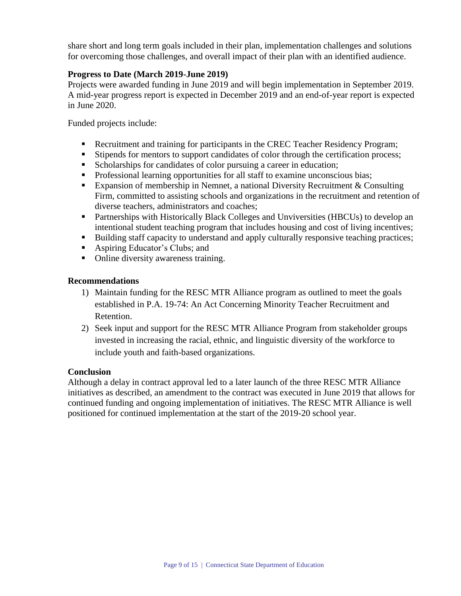share short and long term goals included in their plan, implementation challenges and solutions for overcoming those challenges, and overall impact of their plan with an identified audience.

# **Progress to Date (March 2019-June 2019)**

Projects were awarded funding in June 2019 and will begin implementation in September 2019. A mid-year progress report is expected in December 2019 and an end-of-year report is expected in June 2020.

Funded projects include:

- Recruitment and training for participants in the CREC Teacher Residency Program;
- **Stipends for mentors to support candidates of color through the certification process;**
- Scholarships for candidates of color pursuing a career in education;
- **Professional learning opportunities for all staff to examine unconscious bias;**
- Expansion of membership in Nemnet, a national Diversity Recruitment  $&$  Consulting Firm, committed to assisting schools and organizations in the recruitment and retention of diverse teachers, administrators and coaches;
- Partnerships with Historically Black Colleges and Unviversities (HBCUs) to develop an intentional student teaching program that includes housing and cost of living incentives;
- Building staff capacity to understand and apply culturally responsive teaching practices;
- Aspiring Educator's Clubs; and
- Online diversity awareness training.

## **Recommendations**

- 1) Maintain funding for the RESC MTR Alliance program as outlined to meet the goals established in P.A. 19-74: An Act Concerning Minority Teacher Recruitment and Retention.
- 2) Seek input and support for the RESC MTR Alliance Program from stakeholder groups invested in increasing the racial, ethnic, and linguistic diversity of the workforce to include youth and faith-based organizations.

## **Conclusion**

Although a delay in contract approval led to a later launch of the three RESC MTR Alliance initiatives as described, an amendment to the contract was executed in June 2019 that allows for continued funding and ongoing implementation of initiatives. The RESC MTR Alliance is well positioned for continued implementation at the start of the 2019-20 school year.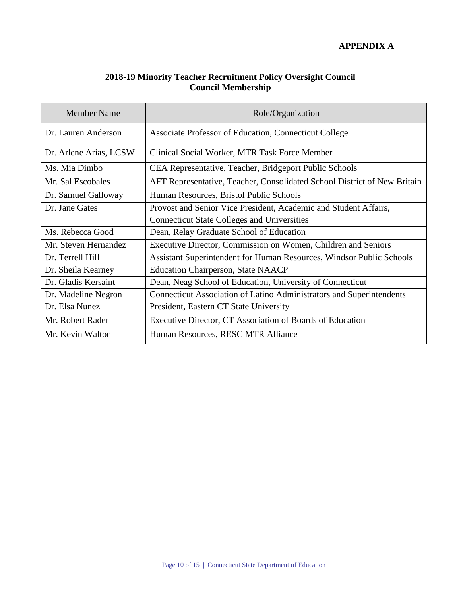# **APPENDIX A**

# **2018-19 Minority Teacher Recruitment Policy Oversight Council Council Membership**

| <b>Member Name</b>     | Role/Organization                                                        |  |
|------------------------|--------------------------------------------------------------------------|--|
| Dr. Lauren Anderson    | Associate Professor of Education, Connecticut College                    |  |
| Dr. Arlene Arias, LCSW | Clinical Social Worker, MTR Task Force Member                            |  |
| Ms. Mia Dimbo          | CEA Representative, Teacher, Bridgeport Public Schools                   |  |
| Mr. Sal Escobales      | AFT Representative, Teacher, Consolidated School District of New Britain |  |
| Dr. Samuel Galloway    | Human Resources, Bristol Public Schools                                  |  |
| Dr. Jane Gates         | Provost and Senior Vice President, Academic and Student Affairs,         |  |
|                        | <b>Connecticut State Colleges and Universities</b>                       |  |
| Ms. Rebecca Good       | Dean, Relay Graduate School of Education                                 |  |
| Mr. Steven Hernandez   | Executive Director, Commission on Women, Children and Seniors            |  |
| Dr. Terrell Hill       | Assistant Superintendent for Human Resources, Windsor Public Schools     |  |
| Dr. Sheila Kearney     | <b>Education Chairperson, State NAACP</b>                                |  |
| Dr. Gladis Kersaint    | Dean, Neag School of Education, University of Connecticut                |  |
| Dr. Madeline Negron    | Connecticut Association of Latino Administrators and Superintendents     |  |
| Dr. Elsa Nunez         | President, Eastern CT State University                                   |  |
| Mr. Robert Rader       | Executive Director, CT Association of Boards of Education                |  |
| Mr. Kevin Walton       | Human Resources, RESC MTR Alliance                                       |  |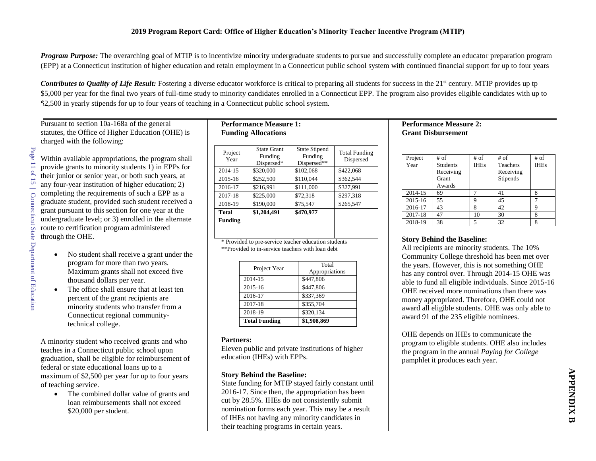*Program Purpose:* The overarching goal of MTIP is to incentivize minority undergraduate students to pursue and successfully complete an educator preparation program (EPP) at a Connecticut institution of higher education and retain employment in a Connecticut public school system with continued financial support for up to four years

*Contributes to Quality of Life Result:* Fostering a diverse educator workforce is critical to preparing all students for success in the 21<sup>st</sup> century. MTIP provides up tp \$5,000 per year for the final two years of full-time study to minority candidates enrolled in a Connecticut EPP. The program also provides eligible candidates with up to \$2,500 in yearly stipends for up to four years of teaching in a Connecticut public school system.

### Pursuant to section 10a-168a of the general statutes, the Office of Higher Education (OHE) is charged with the following:

Within available appropriations, the program shall provide grants to minority students 1) in EPPs for their junior or senior year, or both such years, at any four-year institution of higher education; 2) completing the requirements of such a EPP as a graduate student, provided such student received a grant pursuant to this section for one year at the undergraduate level; or 3) enrolled in the alternate route to certification program administered through the OHE.

- No student shall receive a grant under the program for more than two years. Maximum grants shall not exceed five thousand dollars per year.
- The office shall ensure that at least ten percent of the grant recipients are minority students who transfer from a Connecticut regional communitytechnical college.

A minority student who received grants and who teaches in a Connecticut public school upon graduation, shall be eligible for reimbursement of federal or state educational loans up to a maximum of \$2,500 per year for up to four years of teaching service.

• The combined dollar value of grants and loan reimbursements shall not exceed \$20,000 per student.

# **Performance Measure 1: Funding Allocations**

| Project<br>Year         | <b>State Grant</b><br>Funding<br>Dispersed* | <b>State Stipend</b><br>Funding<br>Dispersed** | <b>Total Funding</b><br>Dispersed |
|-------------------------|---------------------------------------------|------------------------------------------------|-----------------------------------|
| 2014-15                 | \$320,000                                   | \$102,068                                      | \$422,068                         |
| 2015-16                 | \$252,500                                   | \$110.044                                      | \$362.544                         |
| 2016-17                 | \$216,991                                   | \$111,000                                      | \$327,991                         |
| 2017-18                 | \$225,000                                   | \$72,318                                       | \$297,318                         |
| 2018-19                 | \$190,000                                   | \$75,547                                       | \$265,547                         |
| Total<br><b>Funding</b> | \$1,204,491                                 | \$470,977                                      |                                   |

\* Provided to pre-service teacher education students \*\*Provided to in-service teachers with loan debt

| <b>Total Funding</b> | \$1,908,869             |
|----------------------|-------------------------|
| 2018-19              | \$320,134               |
| 2017-18              | \$355,704               |
| 2016-17              | \$337,369               |
| 2015-16              | \$447,806               |
| 2014-15              | \$447,806               |
| Project Year         | Total<br>Appropriations |

#### **Partners:**

Eleven public and private institutions of higher education (IHEs) with EPPs.

### **Story Behind the Baseline:**

State funding for MTIP stayed fairly constant until 2016-17. Since then, the appropriation has been cut by 28.5%. IHEs do not consistently submit nomination forms each year. This may be a result of IHEs not having any minority candidates in their teaching programs in certain years.

## **Performance Measure 2: Grant Disbursement**

| Project | # of            | # of        | # of            | # of        |
|---------|-----------------|-------------|-----------------|-------------|
| Year    | <b>Students</b> | <b>IHEs</b> | <b>Teachers</b> | <b>IHEs</b> |
|         | Receiving       |             | Receiving       |             |
|         | Grant           |             | <b>Stipends</b> |             |
|         | Awards          |             |                 |             |
| 2014-15 | 69              |             | 41              |             |
| 2015-16 | 55              | Q           | 45              |             |
| 2016-17 | 43              | 8           | 42              |             |
| 2017-18 | 47              | 10          | 30              |             |
| 2018-19 | 38              |             | 32              |             |

### **Story Behind the Baseline:**

All recipients are minority students. The 10% Community College threshold has been met over the years. However, this is not something OHE has any control over. Through 2014-15 OHE was able to fund all eligible individuals. Since 2015-16 OHE received more nominations than there was money appropriated. Therefore, OHE could not award all eligible students. OHE was only able to award 91 of the 235 eligible nominees.

OHE depends on IHEs to communicate the program to eligible students. OHE also includes the program in the annual *Paying for College* pamphlet it produces each year.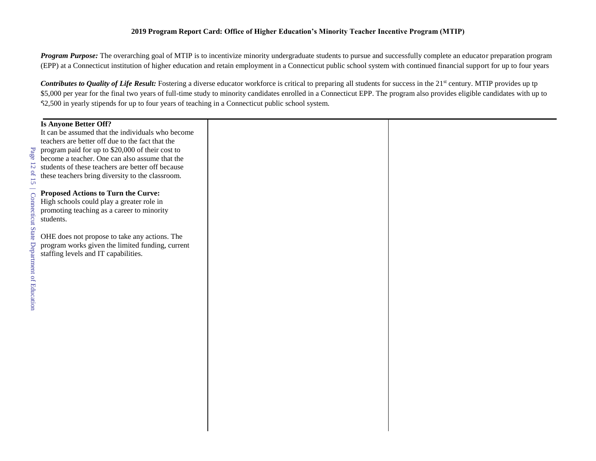#### **2019 Program Report Card: Office of Higher Education's Minority Teacher Incentive Program (MTIP)**

*Program Purpose:* The overarching goal of MTIP is to incentivize minority undergraduate students to pursue and successfully complete an educator preparation program (EPP) at a Connecticut institution of higher education and retain employment in a Connecticut public school system with continued financial support for up to four years

*Contributes to Quality of Life Result:* Fostering a diverse educator workforce is critical to preparing all students for success in the 21<sup>st</sup> century. MTIP provides up tp \$5,000 per year for the final two years of full-time study to minority candidates enrolled in a Connecticut EPP. The program also provides eligible candidates with up to \$2,500 in yearly stipends for up to four years of teaching in a Connecticut public school system.

### **Is Anyone Better Off?**

It can be assumed that the individuals who become teachers are better off due to the fact that the program paid for up to \$20,000 of their cost to become a teacher. One can also assume that the students of these teachers are better off because these teachers bring diversity to the classroom.

### **Proposed Actions to Turn the Curve:**

High schools could play a greater role in promoting teaching as a career to minority students.

OHE does not propose to take any actions. The program works given the limited funding, current staffing levels and IT capabilities.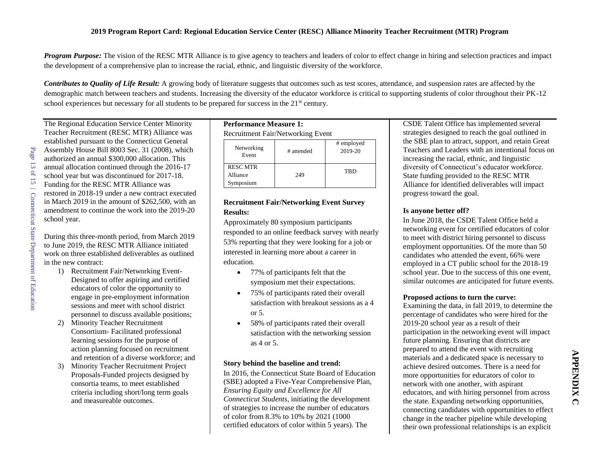*Program Purpose:* The vision of the RESC MTR Alliance is to give agency to teachers and leaders of color to effect change in hiring and selection practices and impact the development of a comprehensive plan to increase the racial, ethnic, and linguistic diversity of the workforce.

*Contributes to Quality of Life Result:* A growing body of literature suggests that outcomes such as test scores, attendance, and suspension rates are affected by the demographic match between teachers and students. Increasing the diversity of the educator workforce is critical to supporting students of color throughout their PK-12 school experiences but necessary for all students to be prepared for success in the  $21<sup>st</sup>$  century.

The Regional Education Service Center Minority Teacher Recruitment (RESC MTR) Alliance was established pursuant to the Connecticut General Assembly House Bill 8003 Sec. 31 (2008), which authorized an annual \$300,000 allocation. This annual allocation continued through the 2016-17 school year but was discontinued for 2017-18. Funding for the RESC MTR Alliance was restored in 2018-19 under a new contract executed in March 2019 in the amount of \$262,500, with an amendment to continue the work into the 2019-20 school year.

During this three-month period, from March 2019 to June 2019, the RESC MTR Alliance initiated work on three established deliverables as outlined in the new contract:

- 1) Recruitment Fair/Networking Event-Designed to offer aspiring and certified educators of color the opportunity to engage in pre-employment information sessions and meet with school district personnel to discuss available positions;
- 2) Minority Teacher Recruitment Consortium- Facilitated professional learning sessions for the purpose of action planning focused on recruitment and retention of a diverse workforce; and
- 3) Minority Teacher Recruitment Project Proposals-Funded projects designed by consortia teams, to meet established criteria including short/long term goals and measureable outcomes.

### **Performance Measure 1:** Recruitment Fair/Networking Event  $\#$  employed

| Networking<br>Event                      | # attended | $\pi$ cauple $\gamma$ cu<br>2019-20 |
|------------------------------------------|------------|-------------------------------------|
| <b>RESC MTR</b><br>Alliance<br>Symposium | 249        | TBD                                 |

### **Recruitment Fair/Networking Event Survey Results:**

Approximately 80 symposium participants responded to an online feedback survey with nearly 53% reporting that they were looking for a job or interested in learning more about a career in education.

- 77% of participants felt that the symposium met their expectations.
- 75% of participants rated their overall satisfaction with breakout sessions as a 4 or 5.
- 58% of participants rated their overall satisfaction with the networking session as 4 or 5.

### **Story behind the baseline and trend:**

In 2016, the Connecticut State Board of Education (SBE) adopted a Five-Year Comprehensive Plan, *Ensuring Equity and Excellence for All Connecticut Students*, initiating the development of strategies to increase the number of educators of color from 8.3% to 10% by 2021 (1000 certified educators of color within 5 years). The

CSDE Talent Office has implemented several strategies designed to reach the goal outlined in the SBE plan to attract, support, and retain Great Teachers and Leaders with an intentional focus on increasing the racial, ethnic, and linguistic diversity of Connecticut's educator workforce. State funding provided to the RESC MTR Alliance for identified deliverables will impact progress toward the goal.

### **Is anyone better off?**

In June 2018, the CSDE Talent Office held a networking event for certified educators of color to meet with district hiring personnel to discuss employment opportunities. Of the more than 50 candidates who attended the event, 66% were employed in a CT public school for the 2018-19 school year. Due to the success of this one event, similar outcomes are anticipated for future events.

### **Proposed actions to turn the curve:**

Examining the data, in fall 2019, to determine the percentage of candidates who were hired for the 2019-20 school year as a result of their participation in the networking event will impact future planning. Ensuring that districts are prepared to attend the event with recruiting materials and a dedicated space is necessary to achieve desired outcomes. There is a need for more opportunities for educators of color to network with one another, with aspirant educators, and with hiring personnel from across the state. Expanding networking opportunities, connecting candidates with opportunities to effect change in the teacher pipeline while developing their own professional relationships is an explicit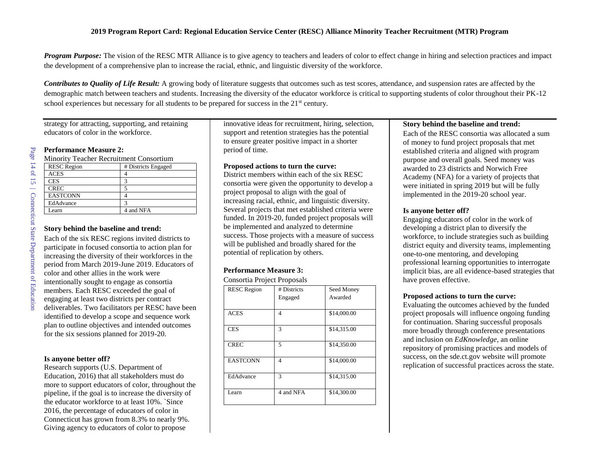*Program Purpose:* The vision of the RESC MTR Alliance is to give agency to teachers and leaders of color to effect change in hiring and selection practices and impact the development of a comprehensive plan to increase the racial, ethnic, and linguistic diversity of the workforce.

*Contributes to Quality of Life Result:* A growing body of literature suggests that outcomes such as test scores, attendance, and suspension rates are affected by the demographic match between teachers and students. Increasing the diversity of the educator workforce is critical to supporting students of color throughout their PK-12 school experiences but necessary for all students to be prepared for success in the  $21<sup>st</sup>$  century.

strategy for attracting, supporting, and retaining educators of color in the workforce.

#### **Performance Measure 2:**

Minority Teacher Recruitment Consortium

| <b>RESC</b> Region | # Districts Engaged |  |
|--------------------|---------------------|--|
| <b>ACES</b>        |                     |  |
| <b>CES</b>         |                     |  |
| <b>CREC</b>        |                     |  |
| <b>EASTCONN</b>    |                     |  |
| EdAdvance          | 3                   |  |
| I earn             | 4 and NFA           |  |
|                    |                     |  |

#### **Story behind the baseline and trend:**

Each of the six RESC regions invited districts to participate in focused consortia to action plan for increasing the diversity of their workforces in the period from March 2019-June 2019. Educators of color and other allies in the work were intentionally sought to engage as consortia members. Each RESC exceeded the goal of engaging at least two districts per contract deliverables. Two facilitators per RESC have been identified to develop a scope and sequence work plan to outline objectives and intended outcomes for the six sessions planned for 2019-20.

#### **Is anyone better off?**

Research supports (U.S. Department of Education, 2016) that all stakeholders must do more to support educators of color, throughout the pipeline, if the goal is to increase the diversity of the educator workforce to at least 10%. `Since 2016, the percentage of educators of color in Connecticut has grown from 8.3% to nearly 9%. Giving agency to educators of color to propose

innovative ideas for recruitment, hiring, selection, support and retention strategies has the potential to ensure greater positive impact in a shorter period of time.

#### **Proposed actions to turn the curve:**

District members within each of the six RESC consortia were given the opportunity to develop a project proposal to align with the goal of increasing racial, ethnic, and linguistic diversity. Several projects that met established criteria were funded. In 2019-20, funded project proposals will be implemented and analyzed to determine success. Those projects with a measure of success will be published and broadly shared for the potential of replication by others.

#### **Performance Measure 3:**

Consortia Project Proposals

| <b>RESC Region</b> | # Districts | Seed Money  |  |
|--------------------|-------------|-------------|--|
|                    | Engaged     | Awarded     |  |
|                    |             |             |  |
| <b>ACES</b>        | 4           | \$14,000.00 |  |
|                    |             |             |  |
| <b>CES</b>         | 3           | \$14,315.00 |  |
|                    |             |             |  |
| <b>CREC</b>        | 5           | \$14,350.00 |  |
|                    |             |             |  |
| <b>EASTCONN</b>    | 4           | \$14,000.00 |  |
|                    |             |             |  |
| EdAdvance          | 3           | \$14,315.00 |  |
|                    |             |             |  |
| Learn              | 4 and NFA   | \$14,300.00 |  |
|                    |             |             |  |

#### **Story behind the baseline and trend:**

Each of the RESC consortia was allocated a sum of money to fund project proposals that met established criteria and aligned with program purpose and overall goals. Seed money was awarded to 23 districts and Norwich Free Academy (NFA) for a variety of projects that were initiated in spring 2019 but will be fully implemented in the 2019-20 school year.

#### **Is anyone better off?**

Engaging educators of color in the work of developing a district plan to diversify the workforce, to include strategies such as building district equity and diversity teams, implementing one-to-one mentoring, and developing professional learning opportunities to interrogate implicit bias, are all evidence-based strategies that have proven effective.

### **Proposed actions to turn the curve:**

Evaluating the outcomes achieved by the funded project proposals will influence ongoing funding for continuation. Sharing successful proposals more broadly through conference presentations and inclusion on *EdKnowledge*, an online repository of promising practices and models of success, on the sde.ct.gov website will promote replication of successful practices across the state.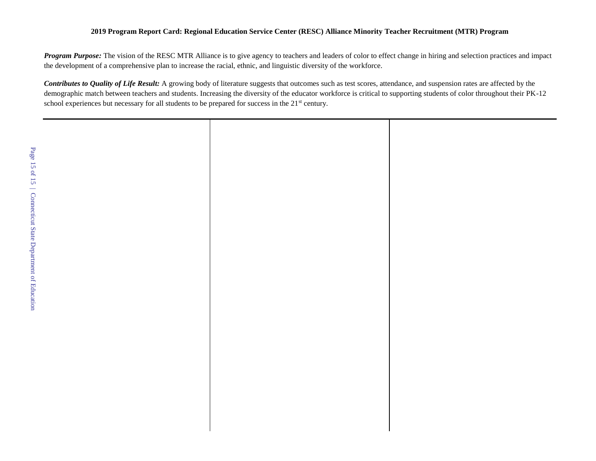### **2019 Program Report Card: Regional Education Service Center (RESC) Alliance Minority Teacher Recruitment (MTR) Program**

*Program Purpose:* The vision of the RESC MTR Alliance is to give agency to teachers and leaders of color to effect change in hiring and selection practices and impact the development of a comprehensive plan to increase the racial, ethnic, and linguistic diversity of the workforce.

*Contributes to Quality of Life Result:* A growing body of literature suggests that outcomes such as test scores, attendance, and suspension rates are affected by the demographic match between teachers and students. Increasing the diversity of the educator workforce is critical to supporting students of color throughout their PK-12 school experiences but necessary for all students to be prepared for success in the 21<sup>st</sup> century.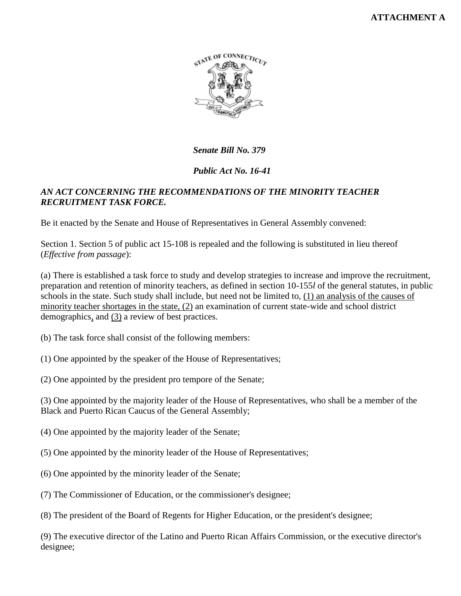

*Senate Bill No. 379*

# *Public Act No. 16-41*

# *AN ACT CONCERNING THE RECOMMENDATIONS OF THE MINORITY TEACHER RECRUITMENT TASK FORCE.*

Be it enacted by the Senate and House of Representatives in General Assembly convened:

Section 1. Section 5 of public act 15-108 is repealed and the following is substituted in lieu thereof (*Effective from passage*):

(a) There is established a task force to study and develop strategies to increase and improve the recruitment, preparation and retention of minority teachers, as defined in section 10-155*l* of the general statutes, in public schools in the state. Such study shall include, but need not be limited to, (1) an analysis of the causes of minority teacher shortages in the state, (2) an examination of current state-wide and school district demographics, and (3) a review of best practices.

- (b) The task force shall consist of the following members:
- (1) One appointed by the speaker of the House of Representatives;
- (2) One appointed by the president pro tempore of the Senate;

(3) One appointed by the majority leader of the House of Representatives, who shall be a member of the Black and Puerto Rican Caucus of the General Assembly;

- (4) One appointed by the majority leader of the Senate;
- (5) One appointed by the minority leader of the House of Representatives;
- (6) One appointed by the minority leader of the Senate;
- (7) The Commissioner of Education, or the commissioner's designee;
- (8) The president of the Board of Regents for Higher Education, or the president's designee;

(9) The executive director of the Latino and Puerto Rican Affairs Commission, or the executive director's designee;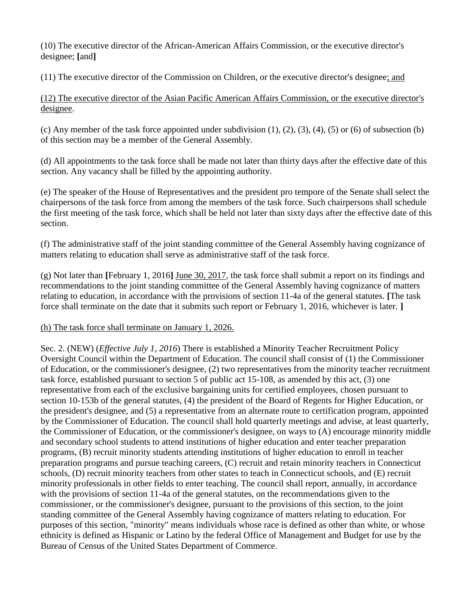(10) The executive director of the African-American Affairs Commission, or the executive director's designee; **[**and**]**

(11) The executive director of the Commission on Children, or the executive director's designee; and

(12) The executive director of the Asian Pacific American Affairs Commission, or the executive director's designee.

(c) Any member of the task force appointed under subdivision  $(1)$ ,  $(2)$ ,  $(3)$ ,  $(4)$ ,  $(5)$  or  $(6)$  of subsection  $(b)$ of this section may be a member of the General Assembly.

(d) All appointments to the task force shall be made not later than thirty days after the effective date of this section. Any vacancy shall be filled by the appointing authority.

(e) The speaker of the House of Representatives and the president pro tempore of the Senate shall select the chairpersons of the task force from among the members of the task force. Such chairpersons shall schedule the first meeting of the task force, which shall be held not later than sixty days after the effective date of this section.

(f) The administrative staff of the joint standing committee of the General Assembly having cognizance of matters relating to education shall serve as administrative staff of the task force.

(g) Not later than **[**February 1, 2016**]** June 30, 2017, the task force shall submit a report on its findings and recommendations to the joint standing committee of the General Assembly having cognizance of matters relating to education, in accordance with the provisions of section 11-4a of the general statutes. **[**The task force shall terminate on the date that it submits such report or February 1, 2016, whichever is later. **]**

# (h) The task force shall terminate on January 1, 2026.

Sec. 2. (NEW) (*Effective July 1, 2016*) There is established a Minority Teacher Recruitment Policy Oversight Council within the Department of Education. The council shall consist of (1) the Commissioner of Education, or the commissioner's designee, (2) two representatives from the minority teacher recruitment task force, established pursuant to section 5 of public act 15-108, as amended by this act, (3) one representative from each of the exclusive bargaining units for certified employees, chosen pursuant to section 10-153b of the general statutes, (4) the president of the Board of Regents for Higher Education, or the president's designee, and (5) a representative from an alternate route to certification program, appointed by the Commissioner of Education. The council shall hold quarterly meetings and advise, at least quarterly, the Commissioner of Education, or the commissioner's designee, on ways to (A) encourage minority middle and secondary school students to attend institutions of higher education and enter teacher preparation programs, (B) recruit minority students attending institutions of higher education to enroll in teacher preparation programs and pursue teaching careers, (C) recruit and retain minority teachers in Connecticut schools, (D) recruit minority teachers from other states to teach in Connecticut schools, and (E) recruit minority professionals in other fields to enter teaching. The council shall report, annually, in accordance with the provisions of section 11-4a of the general statutes, on the recommendations given to the commissioner, or the commissioner's designee, pursuant to the provisions of this section, to the joint standing committee of the General Assembly having cognizance of matters relating to education. For purposes of this section, "minority" means individuals whose race is defined as other than white, or whose ethnicity is defined as Hispanic or Latino by the federal Office of Management and Budget for use by the Bureau of Census of the United States Department of Commerce.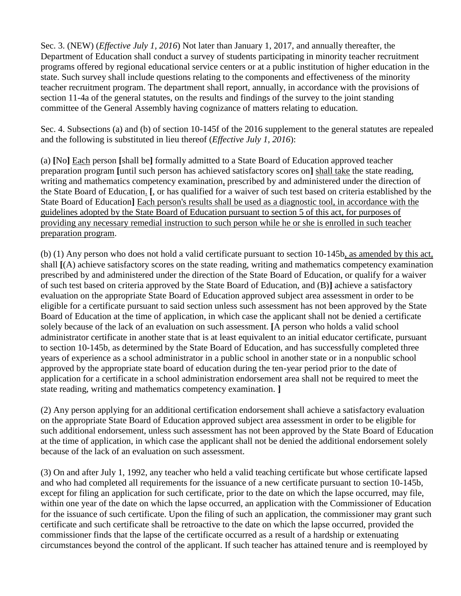Sec. 3. (NEW) (*Effective July 1, 2016*) Not later than January 1, 2017, and annually thereafter, the Department of Education shall conduct a survey of students participating in minority teacher recruitment programs offered by regional educational service centers or at a public institution of higher education in the state. Such survey shall include questions relating to the components and effectiveness of the minority teacher recruitment program. The department shall report, annually, in accordance with the provisions of section 11-4a of the general statutes, on the results and findings of the survey to the joint standing committee of the General Assembly having cognizance of matters relating to education.

Sec. 4. Subsections (a) and (b) of section 10-145f of the 2016 supplement to the general statutes are repealed and the following is substituted in lieu thereof (*Effective July 1, 2016*):

(a) **[**No**]** Each person **[**shall be**]** formally admitted to a State Board of Education approved teacher preparation program **[**until such person has achieved satisfactory scores on**]** shall take the state reading, writing and mathematics competency examination, prescribed by and administered under the direction of the State Board of Education. **[**, or has qualified for a waiver of such test based on criteria established by the State Board of Education**]** Each person's results shall be used as a diagnostic tool, in accordance with the guidelines adopted by the State Board of Education pursuant to section 5 of this act, for purposes of providing any necessary remedial instruction to such person while he or she is enrolled in such teacher preparation program.

(b) (1) Any person who does not hold a valid certificate pursuant to section 10-145b, as amended by this act, shall **[**(A) achieve satisfactory scores on the state reading, writing and mathematics competency examination prescribed by and administered under the direction of the State Board of Education, or qualify for a waiver of such test based on criteria approved by the State Board of Education, and (B)**]** achieve a satisfactory evaluation on the appropriate State Board of Education approved subject area assessment in order to be eligible for a certificate pursuant to said section unless such assessment has not been approved by the State Board of Education at the time of application, in which case the applicant shall not be denied a certificate solely because of the lack of an evaluation on such assessment. **[**A person who holds a valid school administrator certificate in another state that is at least equivalent to an initial educator certificate, pursuant to section 10-145b, as determined by the State Board of Education, and has successfully completed three years of experience as a school administrator in a public school in another state or in a nonpublic school approved by the appropriate state board of education during the ten-year period prior to the date of application for a certificate in a school administration endorsement area shall not be required to meet the state reading, writing and mathematics competency examination. **]**

(2) Any person applying for an additional certification endorsement shall achieve a satisfactory evaluation on the appropriate State Board of Education approved subject area assessment in order to be eligible for such additional endorsement, unless such assessment has not been approved by the State Board of Education at the time of application, in which case the applicant shall not be denied the additional endorsement solely because of the lack of an evaluation on such assessment.

(3) On and after July 1, 1992, any teacher who held a valid teaching certificate but whose certificate lapsed and who had completed all requirements for the issuance of a new certificate pursuant to section 10-145b, except for filing an application for such certificate, prior to the date on which the lapse occurred, may file, within one year of the date on which the lapse occurred, an application with the Commissioner of Education for the issuance of such certificate. Upon the filing of such an application, the commissioner may grant such certificate and such certificate shall be retroactive to the date on which the lapse occurred, provided the commissioner finds that the lapse of the certificate occurred as a result of a hardship or extenuating circumstances beyond the control of the applicant. If such teacher has attained tenure and is reemployed by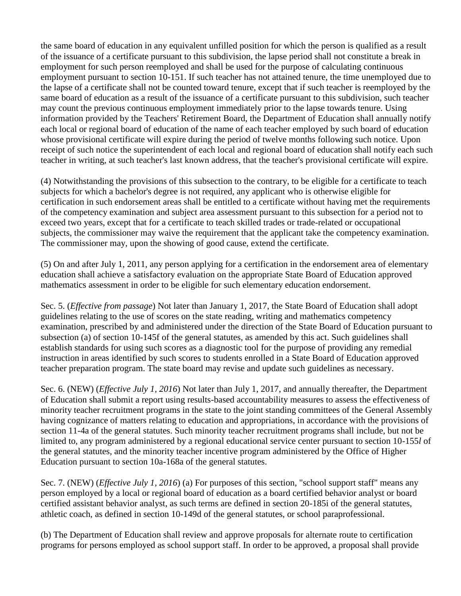the same board of education in any equivalent unfilled position for which the person is qualified as a result of the issuance of a certificate pursuant to this subdivision, the lapse period shall not constitute a break in employment for such person reemployed and shall be used for the purpose of calculating continuous employment pursuant to section 10-151. If such teacher has not attained tenure, the time unemployed due to the lapse of a certificate shall not be counted toward tenure, except that if such teacher is reemployed by the same board of education as a result of the issuance of a certificate pursuant to this subdivision, such teacher may count the previous continuous employment immediately prior to the lapse towards tenure. Using information provided by the Teachers' Retirement Board, the Department of Education shall annually notify each local or regional board of education of the name of each teacher employed by such board of education whose provisional certificate will expire during the period of twelve months following such notice. Upon receipt of such notice the superintendent of each local and regional board of education shall notify each such teacher in writing, at such teacher's last known address, that the teacher's provisional certificate will expire.

(4) Notwithstanding the provisions of this subsection to the contrary, to be eligible for a certificate to teach subjects for which a bachelor's degree is not required, any applicant who is otherwise eligible for certification in such endorsement areas shall be entitled to a certificate without having met the requirements of the competency examination and subject area assessment pursuant to this subsection for a period not to exceed two years, except that for a certificate to teach skilled trades or trade-related or occupational subjects, the commissioner may waive the requirement that the applicant take the competency examination. The commissioner may, upon the showing of good cause, extend the certificate.

(5) On and after July 1, 2011, any person applying for a certification in the endorsement area of elementary education shall achieve a satisfactory evaluation on the appropriate State Board of Education approved mathematics assessment in order to be eligible for such elementary education endorsement.

Sec. 5. (*Effective from passage*) Not later than January 1, 2017, the State Board of Education shall adopt guidelines relating to the use of scores on the state reading, writing and mathematics competency examination, prescribed by and administered under the direction of the State Board of Education pursuant to subsection (a) of section 10-145f of the general statutes, as amended by this act. Such guidelines shall establish standards for using such scores as a diagnostic tool for the purpose of providing any remedial instruction in areas identified by such scores to students enrolled in a State Board of Education approved teacher preparation program. The state board may revise and update such guidelines as necessary.

Sec. 6. (NEW) (*Effective July 1, 2016*) Not later than July 1, 2017, and annually thereafter, the Department of Education shall submit a report using results-based accountability measures to assess the effectiveness of minority teacher recruitment programs in the state to the joint standing committees of the General Assembly having cognizance of matters relating to education and appropriations, in accordance with the provisions of section 11-4a of the general statutes. Such minority teacher recruitment programs shall include, but not be limited to, any program administered by a regional educational service center pursuant to section 10-155*l* of the general statutes, and the minority teacher incentive program administered by the Office of Higher Education pursuant to section 10a-168a of the general statutes.

Sec. 7. (NEW) (*Effective July 1, 2016*) (a) For purposes of this section, "school support staff" means any person employed by a local or regional board of education as a board certified behavior analyst or board certified assistant behavior analyst, as such terms are defined in section 20-185i of the general statutes, athletic coach, as defined in section 10-149d of the general statutes, or school paraprofessional.

(b) The Department of Education shall review and approve proposals for alternate route to certification programs for persons employed as school support staff. In order to be approved, a proposal shall provide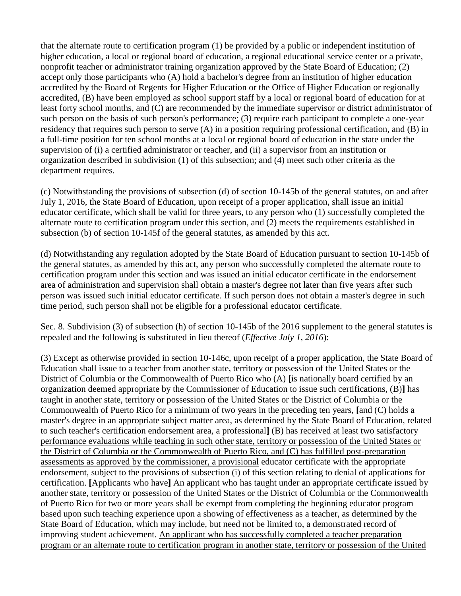that the alternate route to certification program (1) be provided by a public or independent institution of higher education, a local or regional board of education, a regional educational service center or a private, nonprofit teacher or administrator training organization approved by the State Board of Education; (2) accept only those participants who (A) hold a bachelor's degree from an institution of higher education accredited by the Board of Regents for Higher Education or the Office of Higher Education or regionally accredited, (B) have been employed as school support staff by a local or regional board of education for at least forty school months, and (C) are recommended by the immediate supervisor or district administrator of such person on the basis of such person's performance; (3) require each participant to complete a one-year residency that requires such person to serve (A) in a position requiring professional certification, and (B) in a full-time position for ten school months at a local or regional board of education in the state under the supervision of (i) a certified administrator or teacher, and (ii) a supervisor from an institution or organization described in subdivision (1) of this subsection; and (4) meet such other criteria as the department requires.

(c) Notwithstanding the provisions of subsection (d) of section 10-145b of the general statutes, on and after July 1, 2016, the State Board of Education, upon receipt of a proper application, shall issue an initial educator certificate, which shall be valid for three years, to any person who (1) successfully completed the alternate route to certification program under this section, and (2) meets the requirements established in subsection (b) of section 10-145f of the general statutes, as amended by this act.

(d) Notwithstanding any regulation adopted by the State Board of Education pursuant to section 10-145b of the general statutes, as amended by this act, any person who successfully completed the alternate route to certification program under this section and was issued an initial educator certificate in the endorsement area of administration and supervision shall obtain a master's degree not later than five years after such person was issued such initial educator certificate. If such person does not obtain a master's degree in such time period, such person shall not be eligible for a professional educator certificate.

Sec. 8. Subdivision (3) of subsection (h) of section 10-145b of the 2016 supplement to the general statutes is repealed and the following is substituted in lieu thereof (*Effective July 1, 2016*):

(3) Except as otherwise provided in section 10-146c, upon receipt of a proper application, the State Board of Education shall issue to a teacher from another state, territory or possession of the United States or the District of Columbia or the Commonwealth of Puerto Rico who (A) **[**is nationally board certified by an organization deemed appropriate by the Commissioner of Education to issue such certifications, (B)**]** has taught in another state, territory or possession of the United States or the District of Columbia or the Commonwealth of Puerto Rico for a minimum of two years in the preceding ten years, **[**and (C) holds a master's degree in an appropriate subject matter area, as determined by the State Board of Education, related to such teacher's certification endorsement area, a professional**]** (B) has received at least two satisfactory performance evaluations while teaching in such other state, territory or possession of the United States or the District of Columbia or the Commonwealth of Puerto Rico, and (C) has fulfilled post-preparation assessments as approved by the commissioner, a provisional educator certificate with the appropriate endorsement, subject to the provisions of subsection (i) of this section relating to denial of applications for certification. **[**Applicants who have**]** An applicant who has taught under an appropriate certificate issued by another state, territory or possession of the United States or the District of Columbia or the Commonwealth of Puerto Rico for two or more years shall be exempt from completing the beginning educator program based upon such teaching experience upon a showing of effectiveness as a teacher, as determined by the State Board of Education, which may include, but need not be limited to, a demonstrated record of improving student achievement. An applicant who has successfully completed a teacher preparation program or an alternate route to certification program in another state, territory or possession of the United